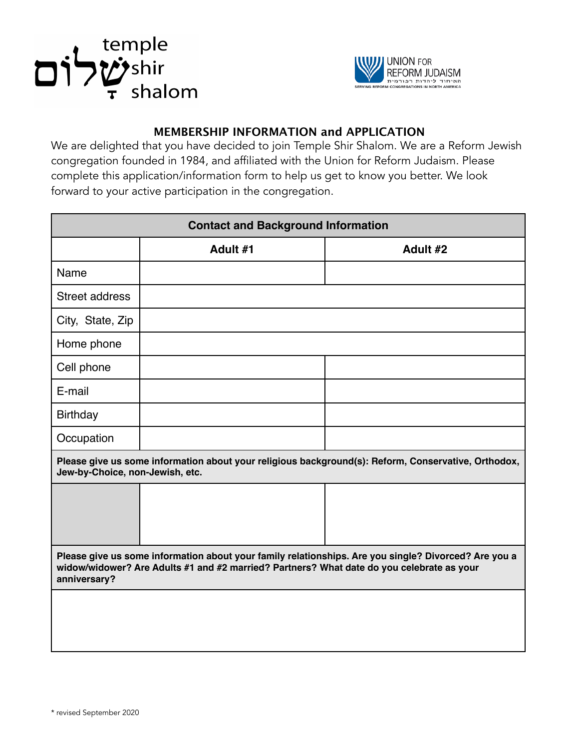



## **MEMBERSHIP INFORMATION and APPLICATION**

We are delighted that you have decided to join Temple Shir Shalom. We are a Reform Jewish congregation founded in 1984, and affiliated with the Union for Reform Judaism. Please complete this application/information form to help us get to know you better. We look forward to your active participation in the congregation.

| <b>Contact and Background Information</b>                                                                                                                                                                         |          |          |
|-------------------------------------------------------------------------------------------------------------------------------------------------------------------------------------------------------------------|----------|----------|
|                                                                                                                                                                                                                   | Adult #1 | Adult #2 |
| Name                                                                                                                                                                                                              |          |          |
| <b>Street address</b>                                                                                                                                                                                             |          |          |
| City, State, Zip                                                                                                                                                                                                  |          |          |
| Home phone                                                                                                                                                                                                        |          |          |
| Cell phone                                                                                                                                                                                                        |          |          |
| E-mail                                                                                                                                                                                                            |          |          |
| <b>Birthday</b>                                                                                                                                                                                                   |          |          |
| Occupation                                                                                                                                                                                                        |          |          |
| Please give us some information about your religious background(s): Reform, Conservative, Orthodox,<br>Jew-by-Choice, non-Jewish, etc.                                                                            |          |          |
|                                                                                                                                                                                                                   |          |          |
| Please give us some information about your family relationships. Are you single? Divorced? Are you a<br>widow/widower? Are Adults #1 and #2 married? Partners? What date do you celebrate as your<br>anniversary? |          |          |
|                                                                                                                                                                                                                   |          |          |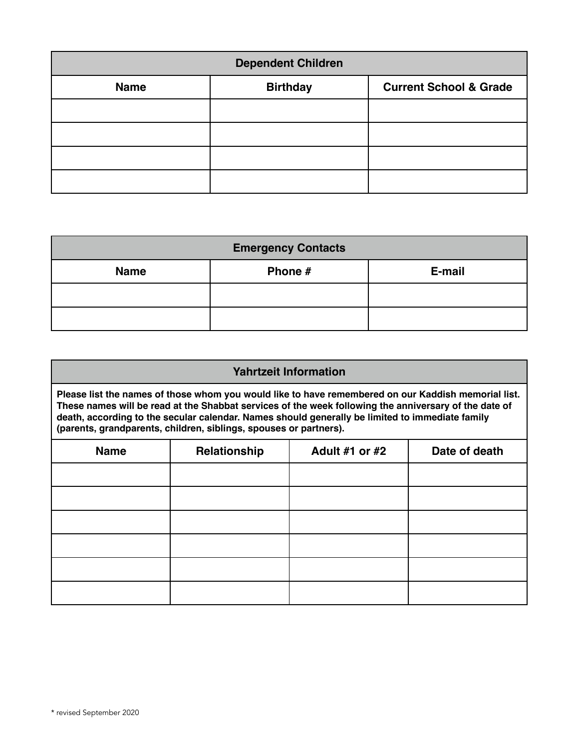| <b>Dependent Children</b> |                 |                                   |
|---------------------------|-----------------|-----------------------------------|
| <b>Name</b>               | <b>Birthday</b> | <b>Current School &amp; Grade</b> |
|                           |                 |                                   |
|                           |                 |                                   |
|                           |                 |                                   |
|                           |                 |                                   |

| <b>Emergency Contacts</b> |         |        |  |
|---------------------------|---------|--------|--|
| <b>Name</b>               | Phone # | E-mail |  |
|                           |         |        |  |
|                           |         |        |  |

| <b>Yahrtzeit Information</b>                                                                                                                                                                                                                                                                                                                                                         |              |                       |               |
|--------------------------------------------------------------------------------------------------------------------------------------------------------------------------------------------------------------------------------------------------------------------------------------------------------------------------------------------------------------------------------------|--------------|-----------------------|---------------|
| Please list the names of those whom you would like to have remembered on our Kaddish memorial list.<br>These names will be read at the Shabbat services of the week following the anniversary of the date of<br>death, according to the secular calendar. Names should generally be limited to immediate family<br>(parents, grandparents, children, siblings, spouses or partners). |              |                       |               |
| <b>Name</b>                                                                                                                                                                                                                                                                                                                                                                          | Relationship | <b>Adult #1 or #2</b> | Date of death |
|                                                                                                                                                                                                                                                                                                                                                                                      |              |                       |               |
|                                                                                                                                                                                                                                                                                                                                                                                      |              |                       |               |
|                                                                                                                                                                                                                                                                                                                                                                                      |              |                       |               |
|                                                                                                                                                                                                                                                                                                                                                                                      |              |                       |               |
|                                                                                                                                                                                                                                                                                                                                                                                      |              |                       |               |
|                                                                                                                                                                                                                                                                                                                                                                                      |              |                       |               |